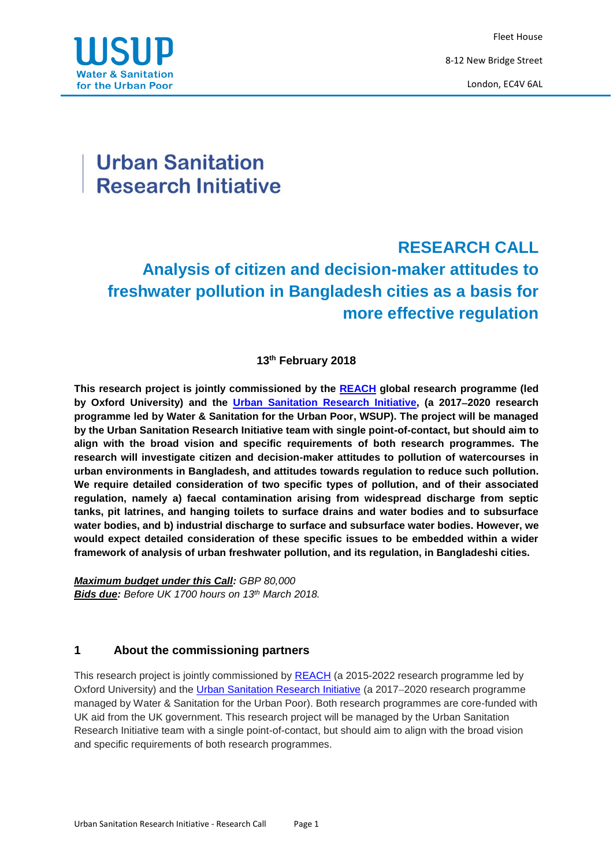Fleet House 8-12 New Bridge Street London, EC4V 6AL



# **Urban Sanitation Research Initiative**

# **RESEARCH CALL Analysis of citizen and decision-maker attitudes to freshwater pollution in Bangladesh cities as a basis for more effective regulation**

# **13 th February 2018**

**This research project is jointly commissioned by the [REACH](http://reachwater.org.uk/) global research programme (led by Oxford University) and the [Urban Sanitation Research Initiative,](http://www.wsup.com/research) (a 20172020 research programme led by Water & Sanitation for the Urban Poor, WSUP). The project will be managed by the Urban Sanitation Research Initiative team with single point-of-contact, but should aim to align with the broad vision and specific requirements of both research programmes. The research will investigate citizen and decision-maker attitudes to pollution of watercourses in urban environments in Bangladesh, and attitudes towards regulation to reduce such pollution. We require detailed consideration of two specific types of pollution, and of their associated regulation, namely a) faecal contamination arising from widespread discharge from septic tanks, pit latrines, and hanging toilets to surface drains and water bodies and to subsurface water bodies, and b) industrial discharge to surface and subsurface water bodies. However, we would expect detailed consideration of these specific issues to be embedded within a wider framework of analysis of urban freshwater pollution, and its regulation, in Bangladeshi cities.**

*Maximum budget under this Call: GBP 80,000 Bids due: Before UK 1700 hours on 13 th March 2018.* 

# **1 About the commissioning partners**

This research project is jointly commissioned by [REACH](http://reachwater.org.uk/) (a 2015-2022 research programme led by Oxford University) and the [Urban Sanitation Research Initiative](http://www.wsup.com/research) (a 2017-2020 research programme managed by Water & Sanitation for the Urban Poor). Both research programmes are core-funded with UK aid from the UK government. This research project will be managed by the Urban Sanitation Research Initiative team with a single point-of-contact, but should aim to align with the broad vision and specific requirements of both research programmes.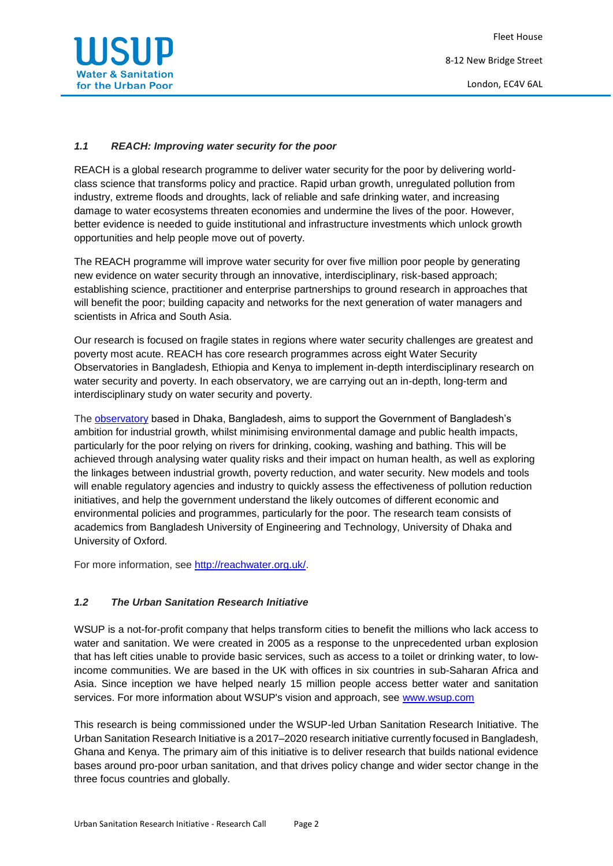

#### *1.1 REACH: Improving water security for the poor*

REACH is a global research programme to deliver water security for the poor by delivering worldclass science that transforms policy and practice. Rapid urban growth, unregulated pollution from industry, extreme floods and droughts, lack of reliable and safe drinking water, and increasing damage to water ecosystems threaten economies and undermine the lives of the poor. However, better evidence is needed to guide institutional and infrastructure investments which unlock growth opportunities and help people move out of poverty.

The REACH programme will improve water security for over five million poor people by generating new evidence on water security through an innovative, interdisciplinary, risk-based approach; establishing science, practitioner and enterprise partnerships to ground research in approaches that will benefit the poor; building capacity and networks for the next generation of water managers and scientists in Africa and South Asia.

Our research is focused on fragile states in regions where water security challenges are greatest and poverty most acute. REACH has core research programmes across eight Water Security Observatories in Bangladesh, Ethiopia and Kenya to implement in-depth interdisciplinary research on water security and poverty. In each observatory, we are carrying out an in-depth, long-term and interdisciplinary study on water security and poverty.

The **[observatory](http://reachwater.org.uk/research/where-we-work/water-security-for-an-urban-river/)** based in Dhaka, Bangladesh, aims to support the Government of Bangladesh's ambition for industrial growth, whilst minimising environmental damage and public health impacts, particularly for the poor relying on rivers for drinking, cooking, washing and bathing. This will be achieved through analysing water quality risks and their impact on human health, as well as exploring the linkages between industrial growth, poverty reduction, and water security. New models and tools will enable regulatory agencies and industry to quickly assess the effectiveness of pollution reduction initiatives, and help the government understand the likely outcomes of different economic and environmental policies and programmes, particularly for the poor. The research team consists of academics from Bangladesh University of Engineering and Technology, University of Dhaka and University of Oxford.

For more information, see [http://reachwater.org.uk/.](http://reachwater.org.uk/)

#### *1.2 The Urban Sanitation Research Initiative*

WSUP is a not-for-profit company that helps transform cities to benefit the millions who lack access to water and sanitation. We were created in 2005 as a response to the unprecedented urban explosion that has left cities unable to provide basic services, such as access to a toilet or drinking water, to lowincome communities. We are based in the UK with offices in six countries in sub-Saharan Africa and Asia. Since inception we have helped nearly 15 million people access better water and sanitation services. For more information about WSUP's vision and approach, see [www.wsup.com](http://www.wsup.com/)

This research is being commissioned under the WSUP-led Urban Sanitation Research Initiative. The Urban Sanitation Research Initiative is a 2017–2020 research initiative currently focused in Bangladesh, Ghana and Kenya. The primary aim of this initiative is to deliver research that builds national evidence bases around pro-poor urban sanitation, and that drives policy change and wider sector change in the three focus countries and globally.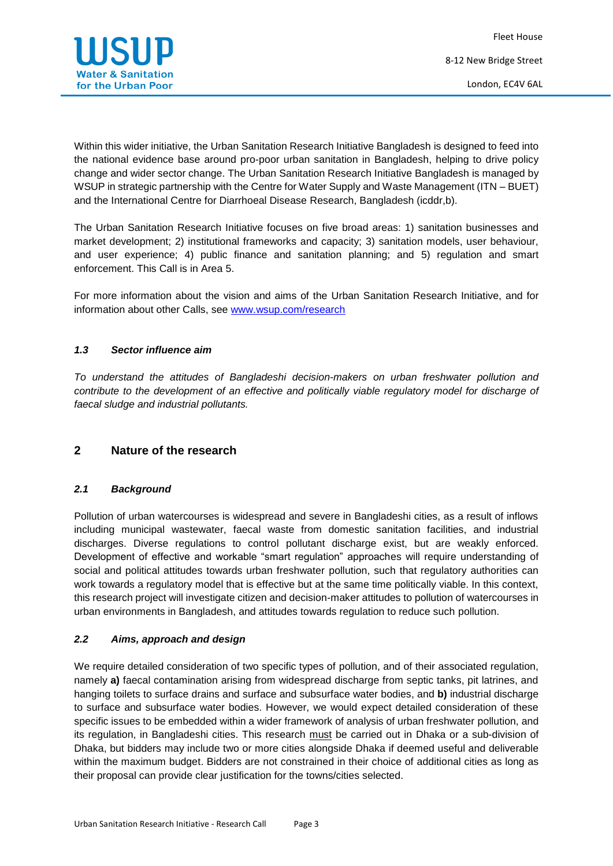

Within this wider initiative, the Urban Sanitation Research Initiative Bangladesh is designed to feed into the national evidence base around pro-poor urban sanitation in Bangladesh, helping to drive policy change and wider sector change. The Urban Sanitation Research Initiative Bangladesh is managed by WSUP in strategic partnership with the Centre for Water Supply and Waste Management (ITN – BUET) and the International Centre for Diarrhoeal Disease Research, Bangladesh (icddr,b).

The Urban Sanitation Research Initiative focuses on five broad areas: 1) sanitation businesses and market development; 2) institutional frameworks and capacity; 3) sanitation models, user behaviour, and user experience; 4) public finance and sanitation planning; and 5) regulation and smart enforcement. This Call is in Area 5.

For more information about the vision and aims of the Urban Sanitation Research Initiative, and for information about other Calls, see [www.wsup.com/research](http://www.wsup.com/research)

#### *1.3 Sector influence aim*

*To understand the attitudes of Bangladeshi decision-makers on urban freshwater pollution and contribute to the development of an effective and politically viable regulatory model for discharge of faecal sludge and industrial pollutants.* 

# **2 Nature of the research**

#### *2.1 Background*

Pollution of urban watercourses is widespread and severe in Bangladeshi cities, as a result of inflows including municipal wastewater, faecal waste from domestic sanitation facilities, and industrial discharges. Diverse regulations to control pollutant discharge exist, but are weakly enforced. Development of effective and workable "smart regulation" approaches will require understanding of social and political attitudes towards urban freshwater pollution, such that regulatory authorities can work towards a regulatory model that is effective but at the same time politically viable. In this context, this research project will investigate citizen and decision-maker attitudes to pollution of watercourses in urban environments in Bangladesh, and attitudes towards regulation to reduce such pollution.

# *2.2 Aims, approach and design*

We require detailed consideration of two specific types of pollution, and of their associated regulation, namely **a)** faecal contamination arising from widespread discharge from septic tanks, pit latrines, and hanging toilets to surface drains and surface and subsurface water bodies, and **b)** industrial discharge to surface and subsurface water bodies. However, we would expect detailed consideration of these specific issues to be embedded within a wider framework of analysis of urban freshwater pollution, and its regulation, in Bangladeshi cities. This research must be carried out in Dhaka or a sub-division of Dhaka, but bidders may include two or more cities alongside Dhaka if deemed useful and deliverable within the maximum budget. Bidders are not constrained in their choice of additional cities as long as their proposal can provide clear justification for the towns/cities selected.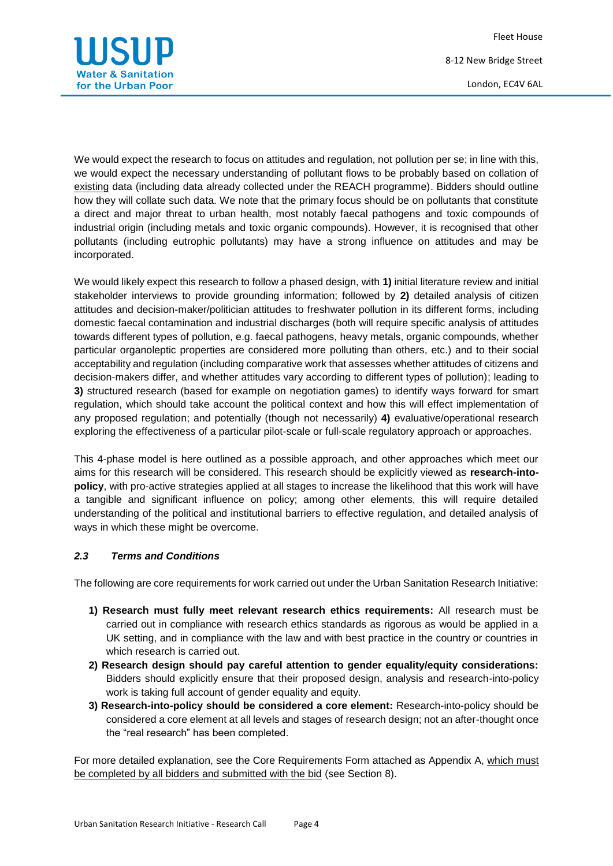Fleet House 8-12 New Bridge Street London, EC4V 6AL



We would expect the research to focus on attitudes and regulation, not pollution per se; in line with this, we would expect the necessary understanding of pollutant flows to be probably based on collation of existing data (including data already collected under the REACH programme). Bidders should outline how they will collate such data. We note that the primary focus should be on pollutants that constitute a direct and major threat to urban health, most notably faecal pathogens and toxic compounds of industrial origin (including metals and toxic organic compounds). However, it is recognised that other pollutants (including eutrophic pollutants) may have a strong influence on attitudes and may be incorporated.

We would likely expect this research to follow a phased design, with **1)** initial literature review and initial stakeholder interviews to provide grounding information; followed by **2)** detailed analysis of citizen attitudes and decision-maker/politician attitudes to freshwater pollution in its different forms, including domestic faecal contamination and industrial discharges (both will require specific analysis of attitudes towards different types of pollution, e.g. faecal pathogens, heavy metals, organic compounds, whether particular organoleptic properties are considered more polluting than others, etc.) and to their social acceptability and regulation (including comparative work that assesses whether attitudes of citizens and decision-makers differ, and whether attitudes vary according to different types of pollution); leading to **3)** structured research (based for example on negotiation games) to identify ways forward for smart regulation, which should take account the political context and how this will effect implementation of any proposed regulation; and potentially (though not necessarily) **4)** evaluative/operational research exploring the effectiveness of a particular pilot-scale or full-scale regulatory approach or approaches.

This 4-phase model is here outlined as a possible approach, and other approaches which meet our aims for this research will be considered. This research should be explicitly viewed as **research-intopolicy**, with pro-active strategies applied at all stages to increase the likelihood that this work will have a tangible and significant influence on policy; among other elements, this will require detailed understanding of the political and institutional barriers to effective regulation, and detailed analysis of ways in which these might be overcome.

#### *2.3 Terms and Conditions*

The following are core requirements for work carried out under the Urban Sanitation Research Initiative:

- **1) Research must fully meet relevant research ethics requirements:** All research must be carried out in compliance with research ethics standards as rigorous as would be applied in a UK setting, and in compliance with the law and with best practice in the country or countries in which research is carried out.
- **2) Research design should pay careful attention to gender equality/equity considerations:** Bidders should explicitly ensure that their proposed design, analysis and research-into-policy work is taking full account of gender equality and equity.
- **3) Research-into-policy should be considered a core element:** Research-into-policy should be considered a core element at all levels and stages of research design; not an after-thought once the "real research" has been completed.

For more detailed explanation, see the Core Requirements Form attached as Appendix A, which must be completed by all bidders and submitted with the bid (see Section 8).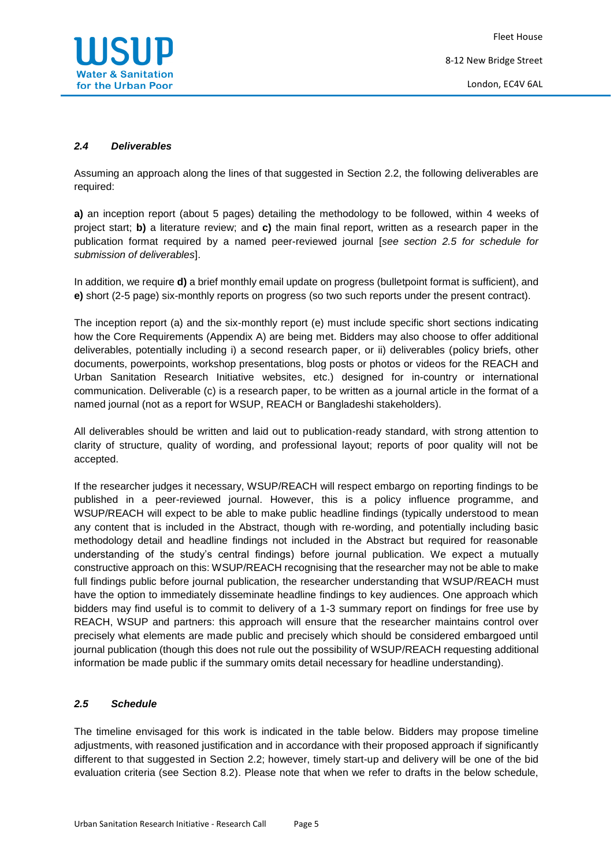

#### *2.4 Deliverables*

Assuming an approach along the lines of that suggested in Section 2.2, the following deliverables are required:

**a)** an inception report (about 5 pages) detailing the methodology to be followed, within 4 weeks of project start; **b)** a literature review; and **c)** the main final report, written as a research paper in the publication format required by a named peer-reviewed journal [*see section 2.5 for schedule for submission of deliverables*].

In addition, we require **d)** a brief monthly email update on progress (bulletpoint format is sufficient), and **e)** short (2-5 page) six-monthly reports on progress (so two such reports under the present contract).

The inception report (a) and the six-monthly report (e) must include specific short sections indicating how the Core Requirements (Appendix A) are being met. Bidders may also choose to offer additional deliverables, potentially including i) a second research paper, or ii) deliverables (policy briefs, other documents, powerpoints, workshop presentations, blog posts or photos or videos for the REACH and Urban Sanitation Research Initiative websites, etc.) designed for in-country or international communication. Deliverable (c) is a research paper, to be written as a journal article in the format of a named journal (not as a report for WSUP, REACH or Bangladeshi stakeholders).

All deliverables should be written and laid out to publication-ready standard, with strong attention to clarity of structure, quality of wording, and professional layout; reports of poor quality will not be accepted.

If the researcher judges it necessary, WSUP/REACH will respect embargo on reporting findings to be published in a peer-reviewed journal. However, this is a policy influence programme, and WSUP/REACH will expect to be able to make public headline findings (typically understood to mean any content that is included in the Abstract, though with re-wording, and potentially including basic methodology detail and headline findings not included in the Abstract but required for reasonable understanding of the study's central findings) before journal publication. We expect a mutually constructive approach on this: WSUP/REACH recognising that the researcher may not be able to make full findings public before journal publication, the researcher understanding that WSUP/REACH must have the option to immediately disseminate headline findings to key audiences. One approach which bidders may find useful is to commit to delivery of a 1-3 summary report on findings for free use by REACH, WSUP and partners: this approach will ensure that the researcher maintains control over precisely what elements are made public and precisely which should be considered embargoed until journal publication (though this does not rule out the possibility of WSUP/REACH requesting additional information be made public if the summary omits detail necessary for headline understanding).

#### *2.5 Schedule*

The timeline envisaged for this work is indicated in the table below. Bidders may propose timeline adjustments, with reasoned justification and in accordance with their proposed approach if significantly different to that suggested in Section 2.2; however, timely start-up and delivery will be one of the bid evaluation criteria (see Section 8.2). Please note that when we refer to drafts in the below schedule,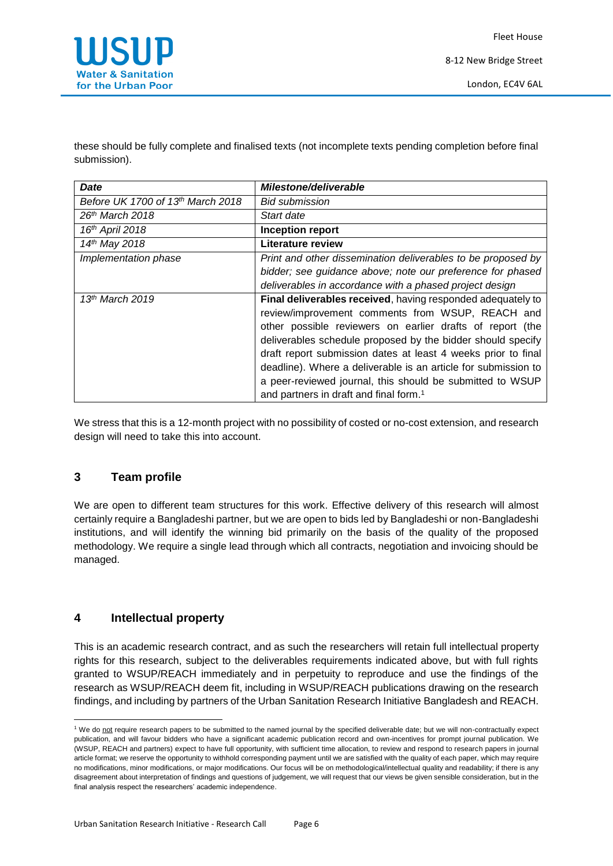

these should be fully complete and finalised texts (not incomplete texts pending completion before final submission).

| <b>Date</b>                       | Milestone/deliverable                                          |
|-----------------------------------|----------------------------------------------------------------|
| Before UK 1700 of 13th March 2018 | <b>Bid submission</b>                                          |
| 26 <sup>th</sup> March 2018       | Start date                                                     |
| 16th April 2018                   | <b>Inception report</b>                                        |
| 14th May 2018                     | <b>Literature review</b>                                       |
| Implementation phase              | Print and other dissemination deliverables to be proposed by   |
|                                   | bidder; see guidance above; note our preference for phased     |
|                                   | deliverables in accordance with a phased project design        |
| $13th$ March 2019                 | Final deliverables received, having responded adequately to    |
|                                   | review/improvement comments from WSUP, REACH and               |
|                                   | other possible reviewers on earlier drafts of report (the      |
|                                   | deliverables schedule proposed by the bidder should specify    |
|                                   | draft report submission dates at least 4 weeks prior to final  |
|                                   | deadline). Where a deliverable is an article for submission to |
|                                   | a peer-reviewed journal, this should be submitted to WSUP      |
|                                   | and partners in draft and final form. <sup>1</sup>             |

We stress that this is a 12-month project with no possibility of costed or no-cost extension, and research design will need to take this into account.

# **3 Team profile**

We are open to different team structures for this work. Effective delivery of this research will almost certainly require a Bangladeshi partner, but we are open to bids led by Bangladeshi or non-Bangladeshi institutions, and will identify the winning bid primarily on the basis of the quality of the proposed methodology. We require a single lead through which all contracts, negotiation and invoicing should be managed.

# **4 Intellectual property**

**.** 

This is an academic research contract, and as such the researchers will retain full intellectual property rights for this research, subject to the deliverables requirements indicated above, but with full rights granted to WSUP/REACH immediately and in perpetuity to reproduce and use the findings of the research as WSUP/REACH deem fit, including in WSUP/REACH publications drawing on the research findings, and including by partners of the Urban Sanitation Research Initiative Bangladesh and REACH.

<sup>&</sup>lt;sup>1</sup> We do not require research papers to be submitted to the named journal by the specified deliverable date; but we will non-contractually expect publication, and will favour bidders who have a significant academic publication record and own-incentives for prompt journal publication. We (WSUP, REACH and partners) expect to have full opportunity, with sufficient time allocation, to review and respond to research papers in journal article format; we reserve the opportunity to withhold corresponding payment until we are satisfied with the quality of each paper, which may require no modifications, minor modifications, or major modifications. Our focus will be on methodological/intellectual quality and readability; if there is any disagreement about interpretation of findings and questions of judgement, we will request that our views be given sensible consideration, but in the final analysis respect the researchers' academic independence.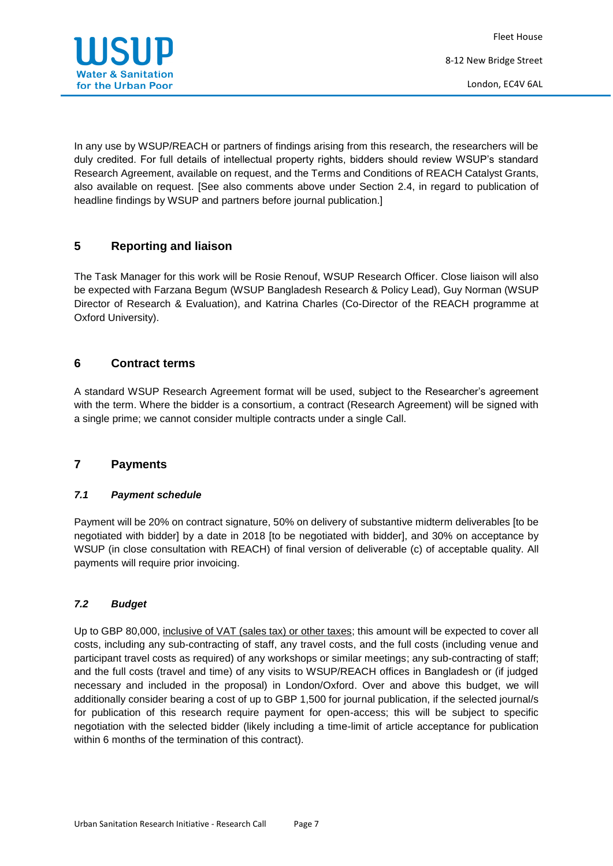

In any use by WSUP/REACH or partners of findings arising from this research, the researchers will be duly credited. For full details of intellectual property rights, bidders should review WSUP's standard Research Agreement, available on request, and the Terms and Conditions of REACH Catalyst Grants, also available on request. [See also comments above under Section 2.4, in regard to publication of headline findings by WSUP and partners before journal publication.]

# **5 Reporting and liaison**

The Task Manager for this work will be Rosie Renouf, WSUP Research Officer. Close liaison will also be expected with Farzana Begum (WSUP Bangladesh Research & Policy Lead), Guy Norman (WSUP Director of Research & Evaluation), and Katrina Charles (Co-Director of the REACH programme at Oxford University).

# **6 Contract terms**

A standard WSUP Research Agreement format will be used, subject to the Researcher's agreement with the term. Where the bidder is a consortium, a contract (Research Agreement) will be signed with a single prime; we cannot consider multiple contracts under a single Call.

# **7 Payments**

# *7.1 Payment schedule*

Payment will be 20% on contract signature, 50% on delivery of substantive midterm deliverables [to be negotiated with bidder] by a date in 2018 [to be negotiated with bidder], and 30% on acceptance by WSUP (in close consultation with REACH) of final version of deliverable (c) of acceptable quality. All payments will require prior invoicing.

# *7.2 Budget*

Up to GBP 80,000, inclusive of VAT (sales tax) or other taxes; this amount will be expected to cover all costs, including any sub-contracting of staff, any travel costs, and the full costs (including venue and participant travel costs as required) of any workshops or similar meetings; any sub-contracting of staff; and the full costs (travel and time) of any visits to WSUP/REACH offices in Bangladesh or (if judged necessary and included in the proposal) in London/Oxford. Over and above this budget, we will additionally consider bearing a cost of up to GBP 1,500 for journal publication, if the selected journal/s for publication of this research require payment for open-access; this will be subject to specific negotiation with the selected bidder (likely including a time-limit of article acceptance for publication within 6 months of the termination of this contract).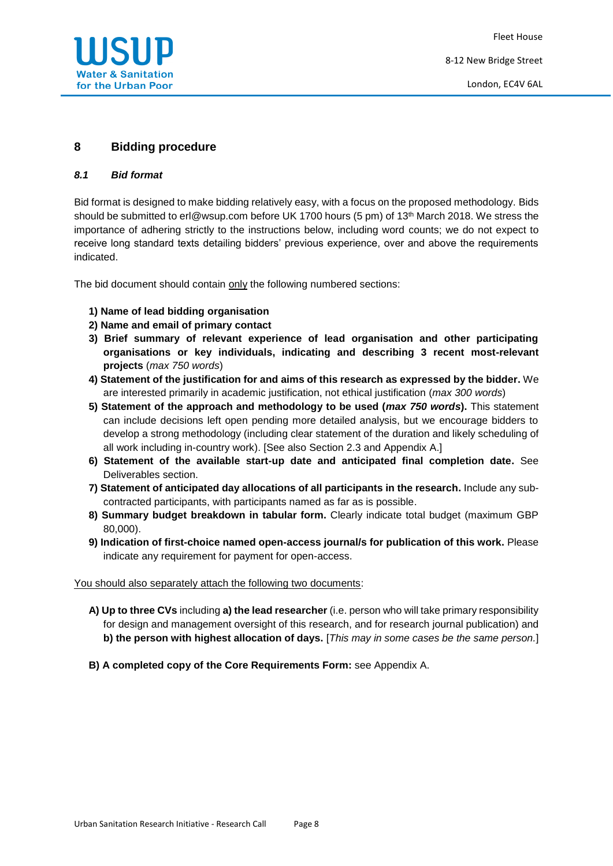

# **8 Bidding procedure**

#### *8.1 Bid format*

Bid format is designed to make bidding relatively easy, with a focus on the proposed methodology. Bids should be submitted to erl@wsup.com before UK 1700 hours (5 pm) of 13<sup>th</sup> March 2018. We stress the importance of adhering strictly to the instructions below, including word counts; we do not expect to receive long standard texts detailing bidders' previous experience, over and above the requirements indicated.

The bid document should contain only the following numbered sections:

- **1) Name of lead bidding organisation**
- **2) Name and email of primary contact**
- **3) Brief summary of relevant experience of lead organisation and other participating organisations or key individuals, indicating and describing 3 recent most-relevant projects** (*max 750 words*)
- **4) Statement of the justification for and aims of this research as expressed by the bidder.** We are interested primarily in academic justification, not ethical justification (*max 300 words*)
- **5) Statement of the approach and methodology to be used (***max 750 words***).** This statement can include decisions left open pending more detailed analysis, but we encourage bidders to develop a strong methodology (including clear statement of the duration and likely scheduling of all work including in-country work). [See also Section 2.3 and Appendix A.]
- **6) Statement of the available start-up date and anticipated final completion date.** See Deliverables section.
- **7) Statement of anticipated day allocations of all participants in the research.** Include any subcontracted participants, with participants named as far as is possible.
- **8) Summary budget breakdown in tabular form.** Clearly indicate total budget (maximum GBP 80,000).
- **9) Indication of first-choice named open-access journal/s for publication of this work.** Please indicate any requirement for payment for open-access.

#### You should also separately attach the following two documents:

**A) Up to three CVs** including **a) the lead researcher** (i.e. person who will take primary responsibility for design and management oversight of this research, and for research journal publication) and **b) the person with highest allocation of days.** [*This may in some cases be the same person.*]

**B) A completed copy of the Core Requirements Form:** see Appendix A.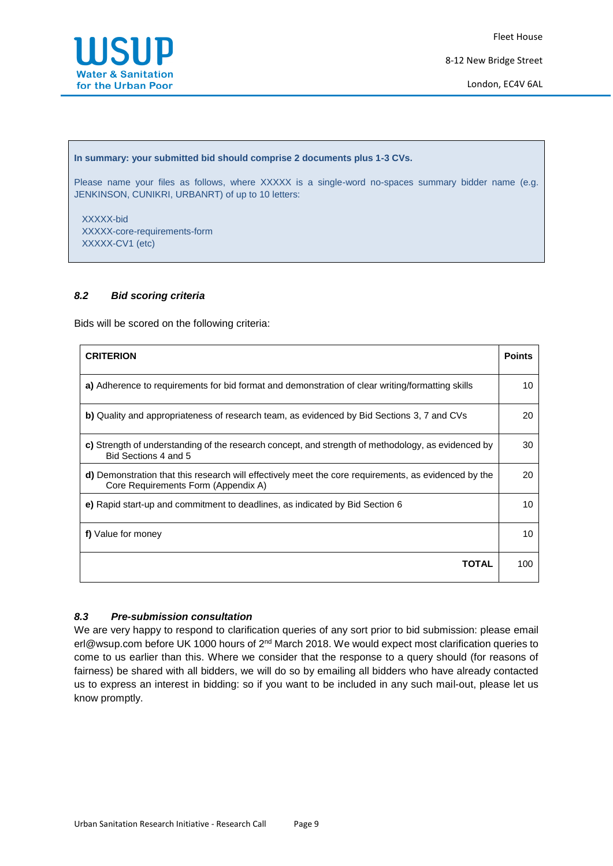

8-12 New Bridge Street

London, EC4V 6AL

#### **In summary: your submitted bid should comprise 2 documents plus 1-3 CVs.**

Please name your files as follows, where XXXXX is a single-word no-spaces summary bidder name (e.g. JENKINSON, CUNIKRI, URBANRT) of up to 10 letters:

 XXXXX-bid XXXXX-core-requirements-form XXXXX-CV1 (etc)

#### *8.2 Bid scoring criteria*

Bids will be scored on the following criteria:

| <b>CRITERION</b>                                                                                                                            | <b>Points</b> |
|---------------------------------------------------------------------------------------------------------------------------------------------|---------------|
| a) Adherence to requirements for bid format and demonstration of clear writing/formatting skills                                            |               |
| b) Quality and appropriateness of research team, as evidenced by Bid Sections 3, 7 and CVs                                                  | 20            |
| c) Strength of understanding of the research concept, and strength of methodology, as evidenced by<br>Bid Sections 4 and 5                  | 30            |
| d) Demonstration that this research will effectively meet the core requirements, as evidenced by the<br>Core Requirements Form (Appendix A) | 20            |
| e) Rapid start-up and commitment to deadlines, as indicated by Bid Section 6                                                                | 10            |
| f) Value for money                                                                                                                          |               |
| ΤΩΤΑΙ                                                                                                                                       | 100           |

#### *8.3 Pre-submission consultation*

We are very happy to respond to clarification queries of any sort prior to bid submission: please email erl@wsup.com before UK 1000 hours of 2<sup>nd</sup> March 2018. We would expect most clarification queries to come to us earlier than this. Where we consider that the response to a query should (for reasons of fairness) be shared with all bidders, we will do so by emailing all bidders who have already contacted us to express an interest in bidding: so if you want to be included in any such mail-out, please let us know promptly.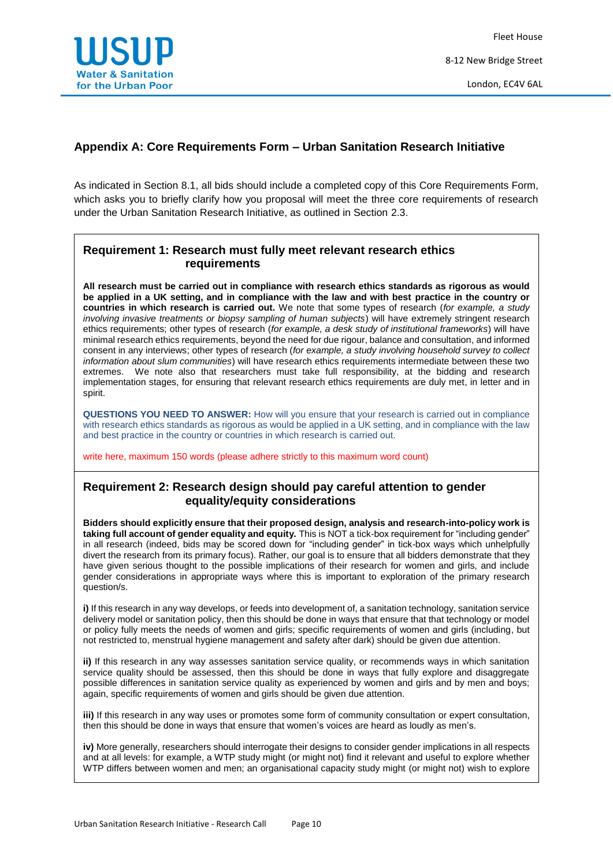

# **Appendix A: Core Requirements Form – Urban Sanitation Research Initiative**

As indicated in Section 8.1, all bids should include a completed copy of this Core Requirements Form, which asks you to briefly clarify how you proposal will meet the three core requirements of research under the Urban Sanitation Research Initiative, as outlined in Section 2.3.

# **Requirement 1: Research must fully meet relevant research ethics requirements**

**All research must be carried out in compliance with research ethics standards as rigorous as would be applied in a UK setting, and in compliance with the law and with best practice in the country or countries in which research is carried out.** We note that some types of research (*for example, a study involving invasive treatments or biopsy sampling of human subjects*) will have extremely stringent research ethics requirements; other types of research (*for example, a desk study of institutional frameworks*) will have minimal research ethics requirements, beyond the need for due rigour, balance and consultation, and informed consent in any interviews; other types of research (*for example, a study involving household survey to collect information about slum communities*) will have research ethics requirements intermediate between these two extremes. We note also that researchers must take full responsibility, at the bidding and research implementation stages, for ensuring that relevant research ethics requirements are duly met, in letter and in spirit.

**QUESTIONS YOU NEED TO ANSWER:** How will you ensure that your research is carried out in compliance with research ethics standards as rigorous as would be applied in a UK setting, and in compliance with the law and best practice in the country or countries in which research is carried out.

write here, maximum 150 words (please adhere strictly to this maximum word count)

# **Requirement 2: Research design should pay careful attention to gender equality/equity considerations**

**Bidders should explicitly ensure that their proposed design, analysis and research-into-policy work is taking full account of gender equality and equity.** This is NOT a tick-box requirement for "including gender" in all research (indeed, bids may be scored down for "including gender" in tick-box ways which unhelpfully divert the research from its primary focus). Rather, our goal is to ensure that all bidders demonstrate that they have given serious thought to the possible implications of their research for women and girls, and include gender considerations in appropriate ways where this is important to exploration of the primary research question/s.

**i)** If this research in any way develops, or feeds into development of, a sanitation technology, sanitation service delivery model or sanitation policy, then this should be done in ways that ensure that that technology or model or policy fully meets the needs of women and girls; specific requirements of women and girls (including, but not restricted to, menstrual hygiene management and safety after dark) should be given due attention.

**ii)** If this research in any way assesses sanitation service quality, or recommends ways in which sanitation service quality should be assessed, then this should be done in ways that fully explore and disaggregate possible differences in sanitation service quality as experienced by women and girls and by men and boys; again, specific requirements of women and girls should be given due attention.

**iii)** If this research in any way uses or promotes some form of community consultation or expert consultation, then this should be done in ways that ensure that women's voices are heard as loudly as men's.

**iv)** More generally, researchers should interrogate their designs to consider gender implications in all respects and at all levels: for example, a WTP study might (or might not) find it relevant and useful to explore whether WTP differs between women and men; an organisational capacity study might (or might not) wish to explore